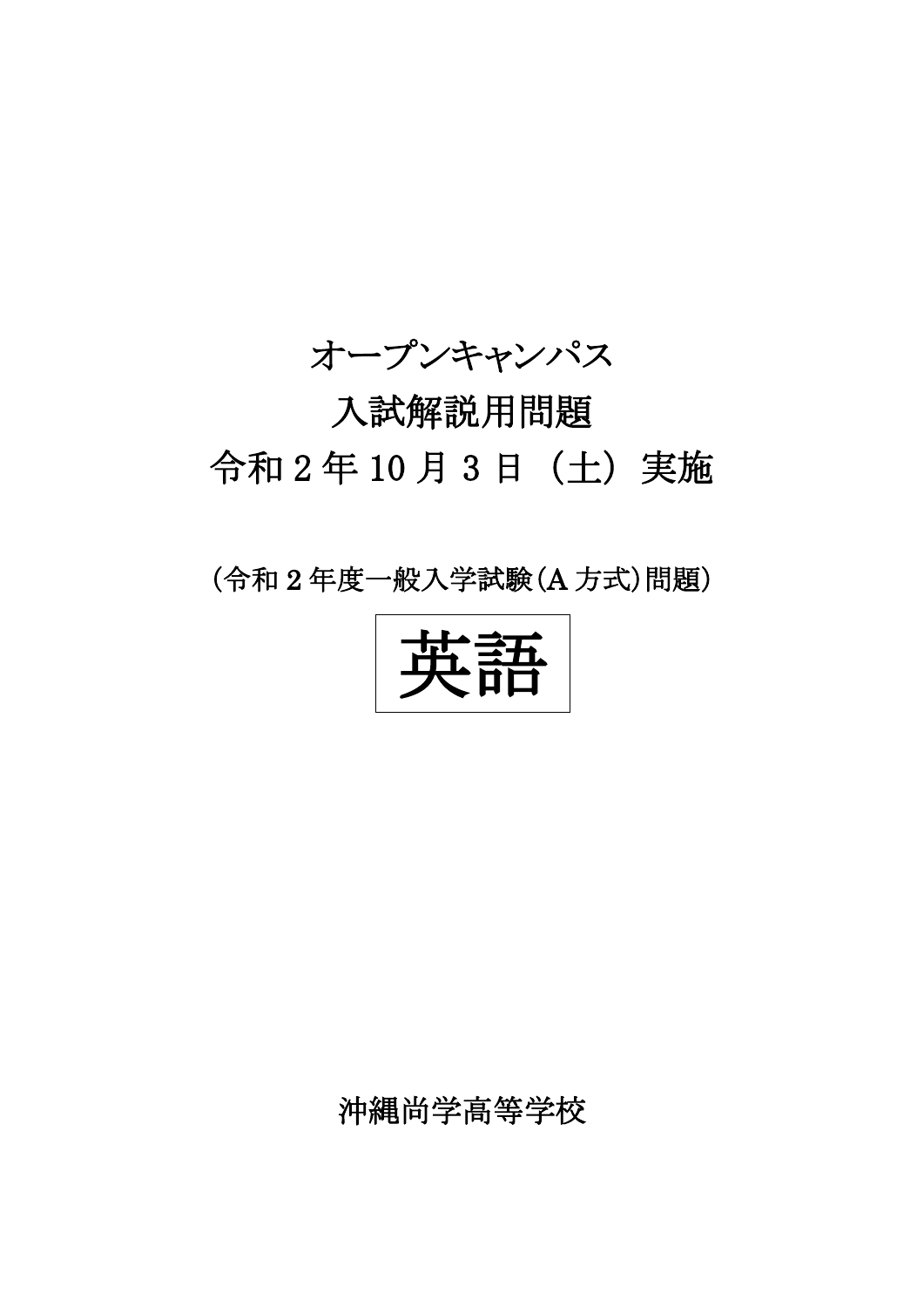

## 入試解説用問題 令和 2 年 10 月 3 日(土)実施

## (令和 2 年度一般入学試験(A 方式)問題)

英語

沖縄尚学高等学校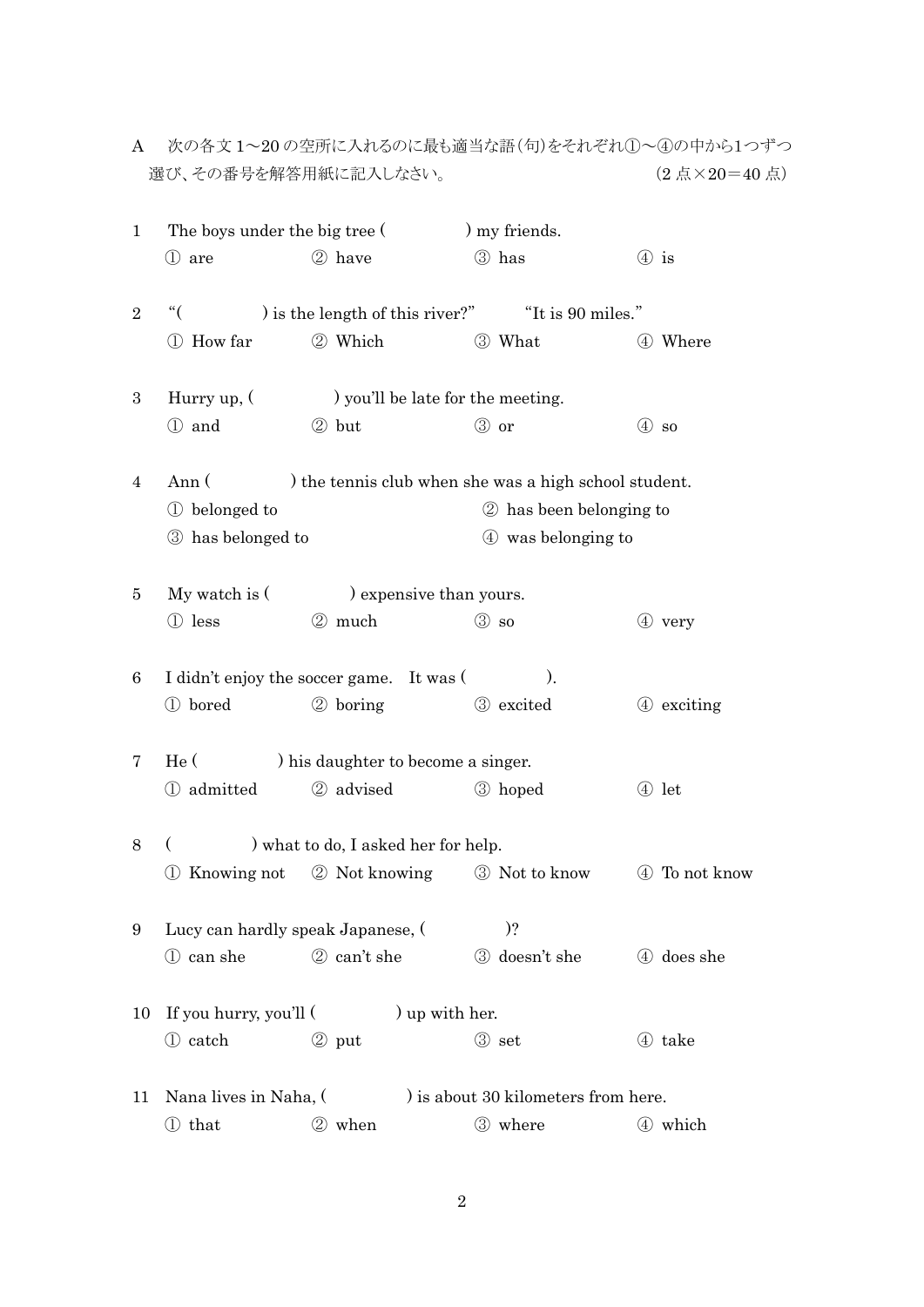|                | 選び、その番号を解答用紙に記入しなさい。                                           | (2点×20=40点) |                                                         |                    |  |  |  |  |  |
|----------------|----------------------------------------------------------------|-------------|---------------------------------------------------------|--------------------|--|--|--|--|--|
| 1              | The boys under the big tree (                                  |             | ) my friends.                                           |                    |  |  |  |  |  |
|                | (1) are                                                        | 2 have      | 3 has                                                   | $\circled{4}$ is   |  |  |  |  |  |
| $\overline{2}$ | $\lq\lq$                                                       |             | ) is the length of this river?" Tt is 90 miles."        |                    |  |  |  |  |  |
|                | 1 How far                                                      | 2 Which     | 3 What                                                  | 4 Where            |  |  |  |  |  |
| 3              | Hurry up, $($                                                  |             |                                                         |                    |  |  |  |  |  |
|                | 1 and                                                          | 2 but       | 3 or                                                    | $(4)$ so           |  |  |  |  |  |
| 4              | Ann (<br>) the tennis club when she was a high school student. |             |                                                         |                    |  |  |  |  |  |
|                | (1) belonged to                                                |             | 2 has been belonging to                                 |                    |  |  |  |  |  |
|                | 3 has belonged to                                              |             |                                                         | 4 was belonging to |  |  |  |  |  |
| 5              | My watch is $($<br>expensive than yours.                       |             |                                                         |                    |  |  |  |  |  |
|                | 1 less                                                         | 2 much      | $\circled{3}$ so                                        | $(4)$ very         |  |  |  |  |  |
| 6              | I didn't enjoy the soccer game. It was (<br>$\mathcal{L}$      |             |                                                         |                    |  |  |  |  |  |
|                | 1 bored                                                        | 2 boring    | 3 excited                                               | 4 exciting         |  |  |  |  |  |
| 7              | He (<br>) his daughter to become a singer.                     |             |                                                         |                    |  |  |  |  |  |
|                | 1 admitted                                                     | 2 advised   | 3 hoped                                                 | 4 let              |  |  |  |  |  |
| 8              | ) what to do, I asked her for help.<br>€                       |             |                                                         |                    |  |  |  |  |  |
|                |                                                                |             | 1 Knowing not 2 Not knowing 3 Not to know 4 To not know |                    |  |  |  |  |  |
| 9              | Lucy can hardly speak Japanese, (                              |             | $)$ ?                                                   |                    |  |  |  |  |  |
|                | 1 can she                                                      | 2 can't she | 3 doesn't she                                           | 4 does she         |  |  |  |  |  |
| 10             | If you hurry, you'll (<br>) up with her.                       |             |                                                         |                    |  |  |  |  |  |
|                | 1 catch                                                        | 2 put       | 3 set                                                   | 4 take             |  |  |  |  |  |
| 11             | Nana lives in Naha, (<br>) is about 30 kilometers from here.   |             |                                                         |                    |  |  |  |  |  |
|                | ① that                                                         | 2 when      | 3 where                                                 | 4 which            |  |  |  |  |  |

A 次の各文 1~20 の空所に入れるのに最も適当な語(句)をそれぞれ①~④の中から1つずつ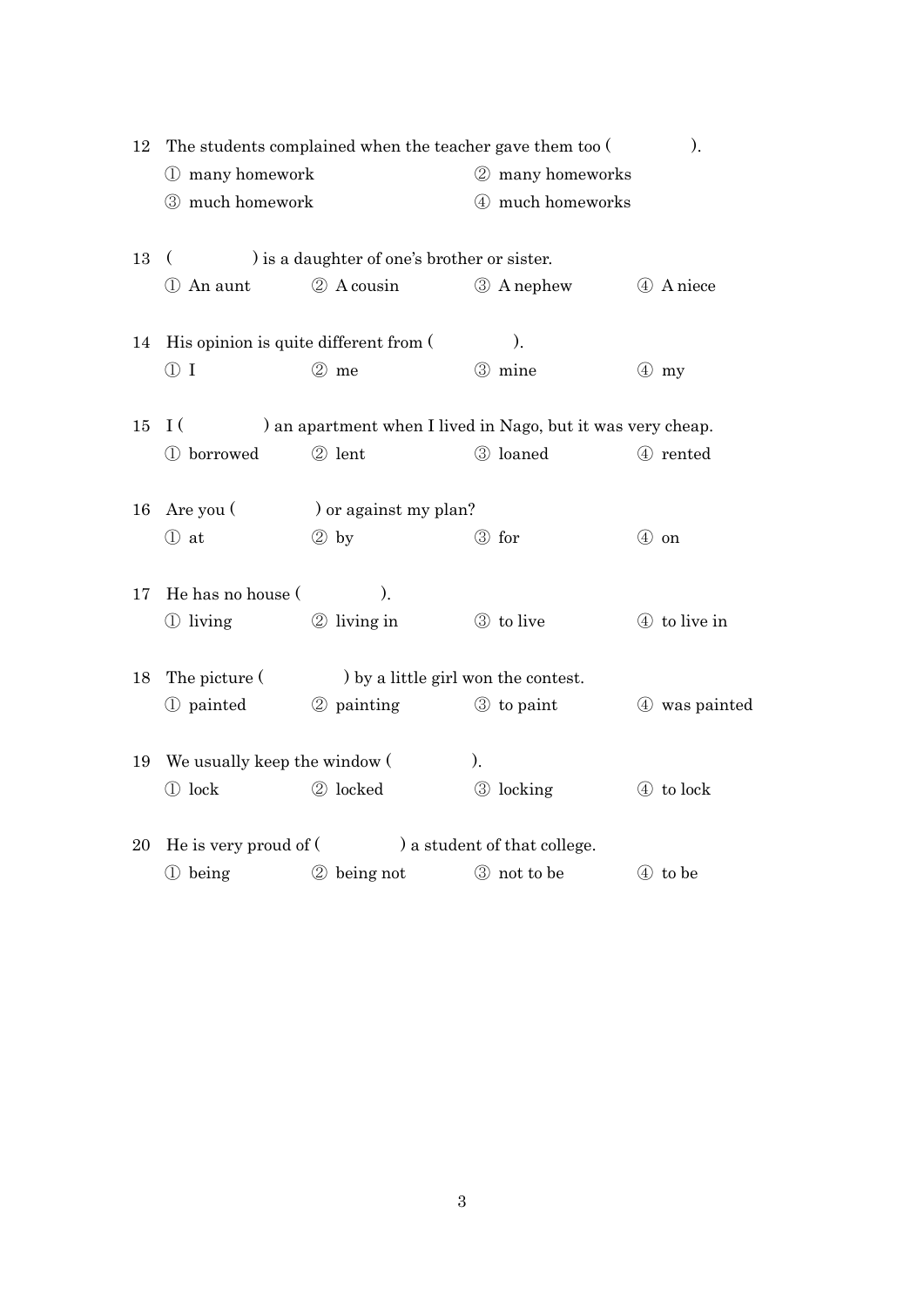| 12 | The students complained when the teacher gave them too ( |                                                             |  |                    |  | ).            |  |
|----|----------------------------------------------------------|-------------------------------------------------------------|--|--------------------|--|---------------|--|
|    | 1 many homework                                          |                                                             |  | 2 many homeworks   |  |               |  |
|    | 3 much homework                                          |                                                             |  | 4 much homeworks   |  |               |  |
| 13 | ) is a daughter of one's brother or sister.              |                                                             |  |                    |  |               |  |
|    | 1 An aunt                                                | 2 A cousin                                                  |  | <b>3</b> A nephew  |  | 4 A niece     |  |
| 14 | His opinion is quite different from (                    |                                                             |  | ).                 |  |               |  |
|    | $\textcircled{1}$                                        | $(2)$ me                                                    |  | 3 mine             |  | $(4)$ my      |  |
| 15 | I(                                                       | ) an apartment when I lived in Nago, but it was very cheap. |  |                    |  |               |  |
|    | 1 borrowed                                               | 2 lent                                                      |  | 3 loaned           |  | 4 rented      |  |
| 16 | Are you (<br>) or against my plan?                       |                                                             |  |                    |  |               |  |
|    | ① at                                                     | $\circledcirc$ by                                           |  | 3 for              |  | 4 on          |  |
| 17 | He has no house (<br>$\mathcal{L}$                       |                                                             |  |                    |  |               |  |
|    | 1 living                                                 | 2 living in                                                 |  | 3 to live          |  | 4 to live in  |  |
| 18 | The picture (                                            | by a little girl won the contest.                           |  |                    |  |               |  |
|    | 1 painted                                                | 2 painting                                                  |  | 3 to paint         |  | 4 was painted |  |
| 19 | We usually keep the window (                             |                                                             |  |                    |  |               |  |
|    | 1 lock                                                   | 2 locked                                                    |  | 3 locking          |  | 4 to lock     |  |
| 20 | He is very proud of $($ $)$ a student of that college.   |                                                             |  |                    |  |               |  |
|    | 1 being                                                  | 2 being not                                                 |  | <b>3</b> not to be |  | 4 to be       |  |
|    |                                                          |                                                             |  |                    |  |               |  |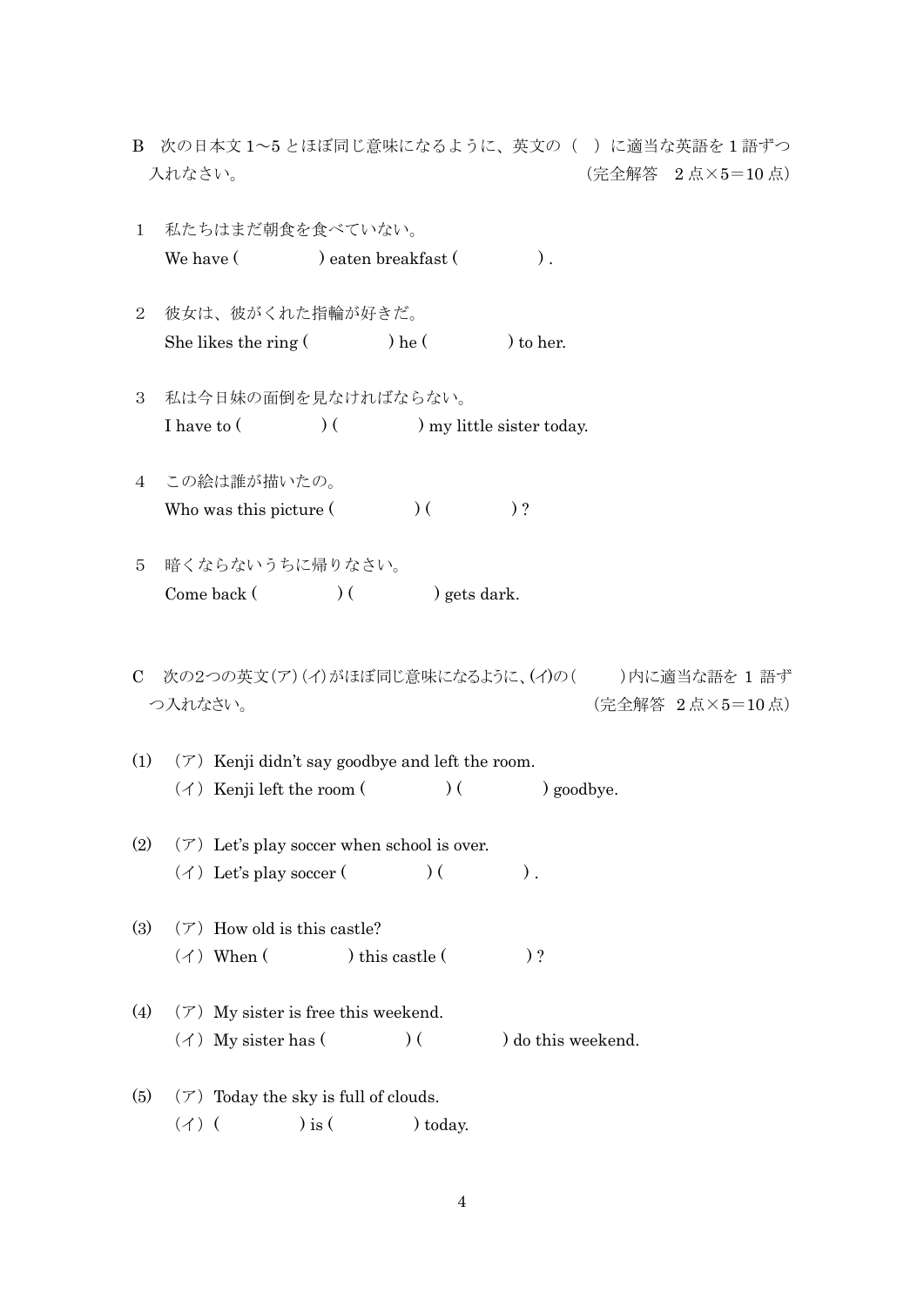- B 次の日本文 1~5 とほぼ同じ意味になるように、英文の( )に適当な英語を 1 語ずつ 入れなさい。 (完全解答 2 点×5=10 点)
- 1 私たちはまだ朝食を食べていない。 We have ( ) eaten breakfast ( ).
- 2 彼女は、彼がくれた指輪が好きだ。 She likes the ring  $()$  he  $()$  to her.
- 3 私は今日妹の面倒を見なければならない。 I have to ( ) ( ) my little sister today.
- 4 この絵は誰が描いたの。 Who was this picture  $($   $)$   $($   $)$ ?
- 5 暗くならないうちに帰りなさい。 Come back  $($   $)$   $($   $)$  gets dark.
- C 次の2つの英文(ア)(イ)がほぼ同じ意味になるように、(イ)の( )内に適当な語を 1 語ず つ入れなさい。 (完全解答 2 点×5=10 点)
- (1)  $(\mathcal{T})$  Kenji didn't say goodbye and left the room.  $(\n\prec)$  Kenji left the room ( ) ( ) goodbye.
- (2)  $(\mathcal{T})$  Let's play soccer when school is over.  $(\n\chi)$  Let's play soccer ( ) ( ).
- (3)  $(\mathcal{T})$  How old is this castle?  $(\n\gamma)$  When ( ) this castle ( )?
- (4)  $(\mathcal{T})$  My sister is free this weekend.  $(\n\prec)$  My sister has  $($  )  $)$  ( ) do this weekend.
- (5)  $(\mathcal{T})$  Today the sky is full of clouds.  $(\n\prec)$  ( ) is ( ) today.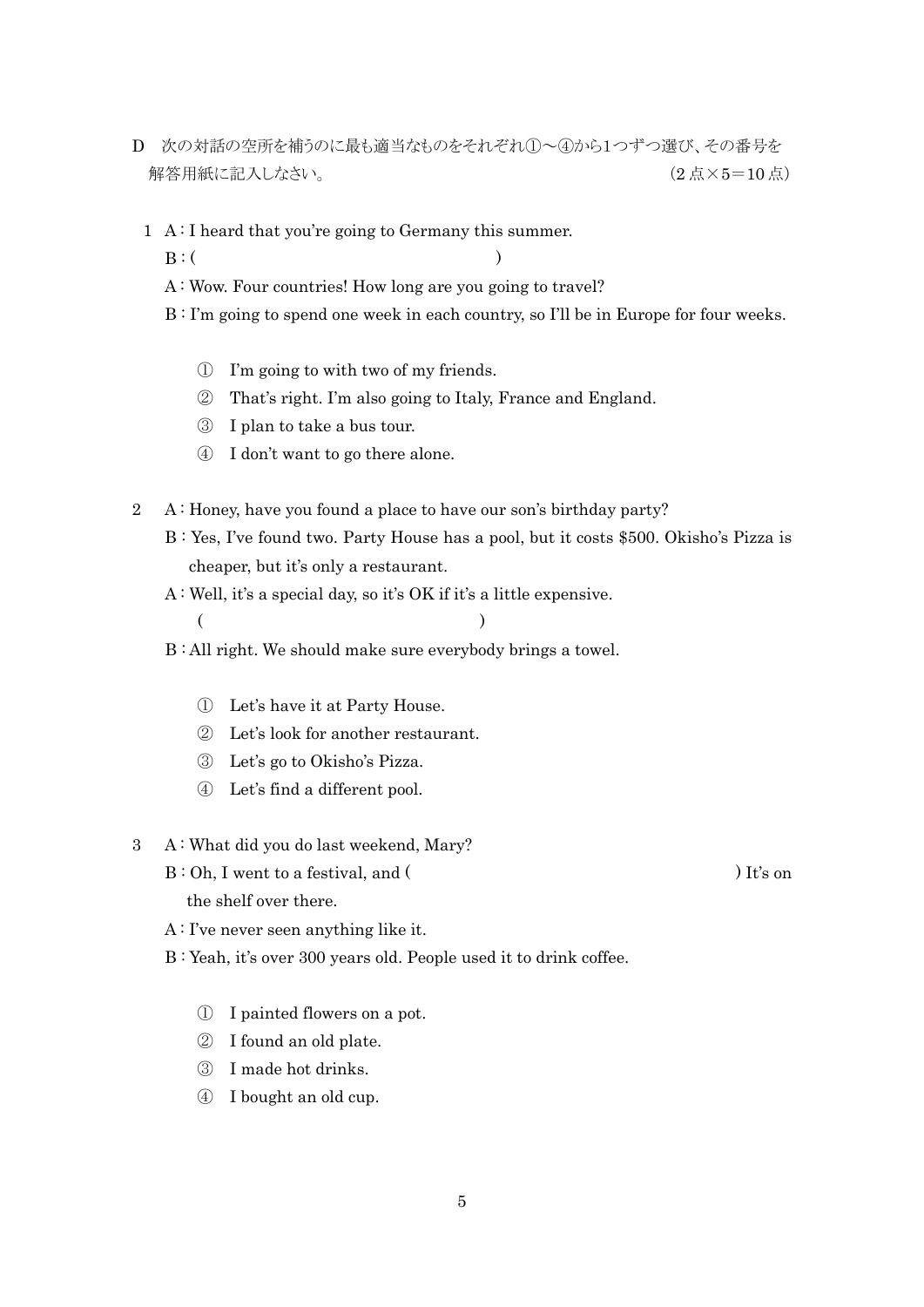- D 次の対話の空所を補うのに最も適当なものをそれぞれ①~④から1つずつ選び、その番号を 解答用紙に記入しなさい。 (2 点×5=10 点)
	- 1 A: I heard that you're going to Germany this summer.
- $B: ($ 
	- A : Wow. Four countries! How long are you going to travel?
	- B : I'm going to spend one week in each country, so I'll be in Europe for four weeks.
		- ① I'm going to with two of my friends.
		- ② That's right. I'm also going to Italy, France and England.
		- ③ I plan to take a bus tour.
		- ④ I don't want to go there alone.
- 2 A : Honey, have you found a place to have our son's birthday party?
	- B : Yes, I've found two. Party House has a pool, but it costs \$500. Okisho's Pizza is cheaper, but it's only a restaurant.
	- A : Well, it's a special day, so it's OK if it's a little expensive.
	- $($
	- B : All right. We should make sure everybody brings a towel.
		- ① Let's have it at Party House.
		- ② Let's look for another restaurant.
		- ③ Let's go to Okisho's Pizza.
		- ④ Let's find a different pool.
- 3 A : What did you do last weekend, Mary?
	- B: Oh, I went to a festival, and ( ) It's on the shelf over there.
	- A : I've never seen anything like it.
	- B : Yeah, it's over 300 years old. People used it to drink coffee.
		- ① I painted flowers on a pot.
		- ② I found an old plate.
		- ③ I made hot drinks.
		- ④ I bought an old cup.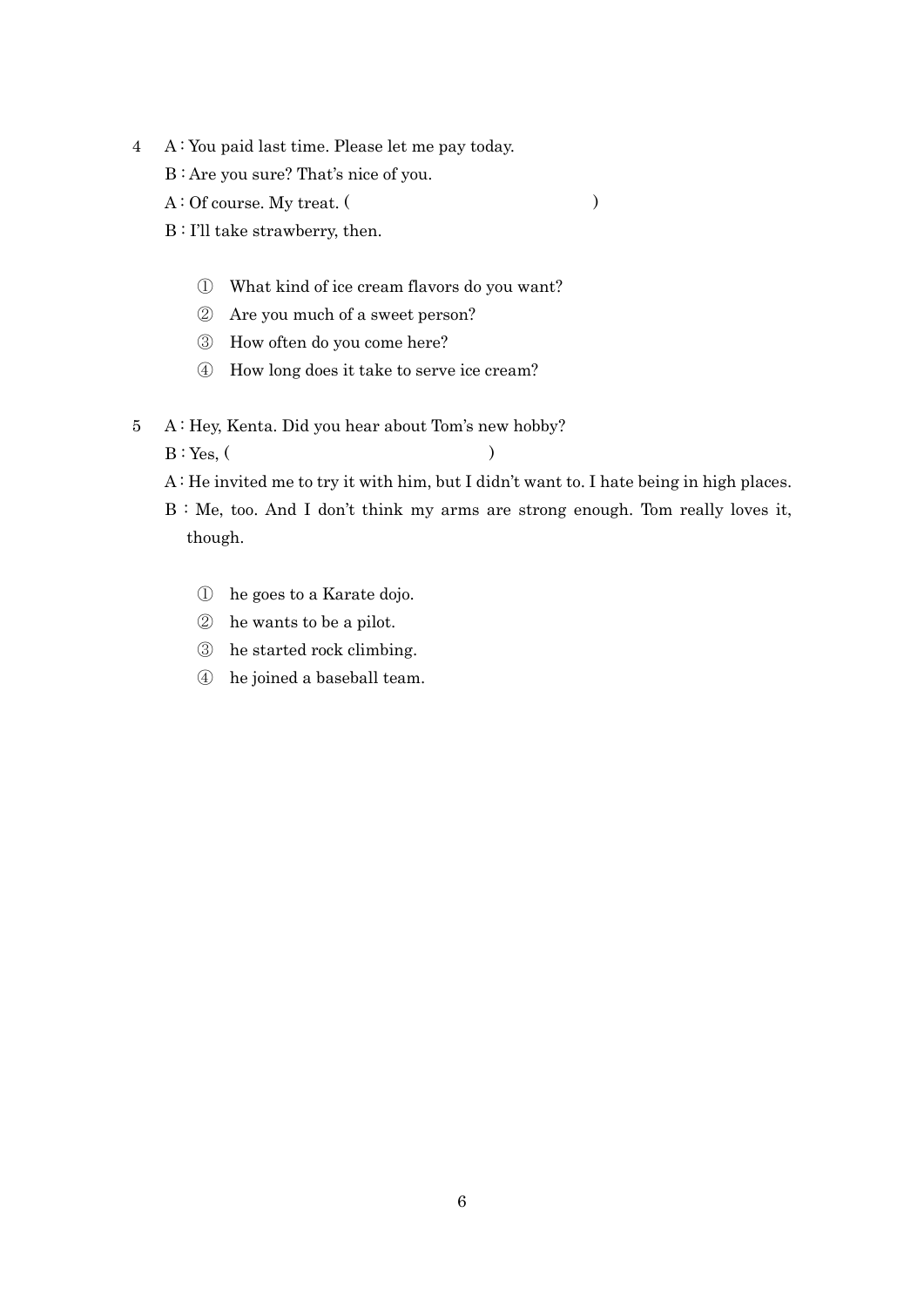- 4 A : You paid last time. Please let me pay today.
	- B : Are you sure? That's nice of you.
	- A : Of course. My treat. ( )
	- B : I'll take strawberry, then.
		- ① What kind of ice cream flavors do you want?
		- ② Are you much of a sweet person?
		- ③ How often do you come here?
		- ④ How long does it take to serve ice cream?
- 5 A : Hey, Kenta. Did you hear about Tom's new hobby?  $B: Yes, ($ 
	- A : He invited me to try it with him, but I didn't want to. I hate being in high places.
	- B : Me, too. And I don't think my arms are strong enough. Tom really loves it, though.
		- ① he goes to a Karate dojo.
		- ② he wants to be a pilot.
		- ③ he started rock climbing.
		- ④ he joined a baseball team.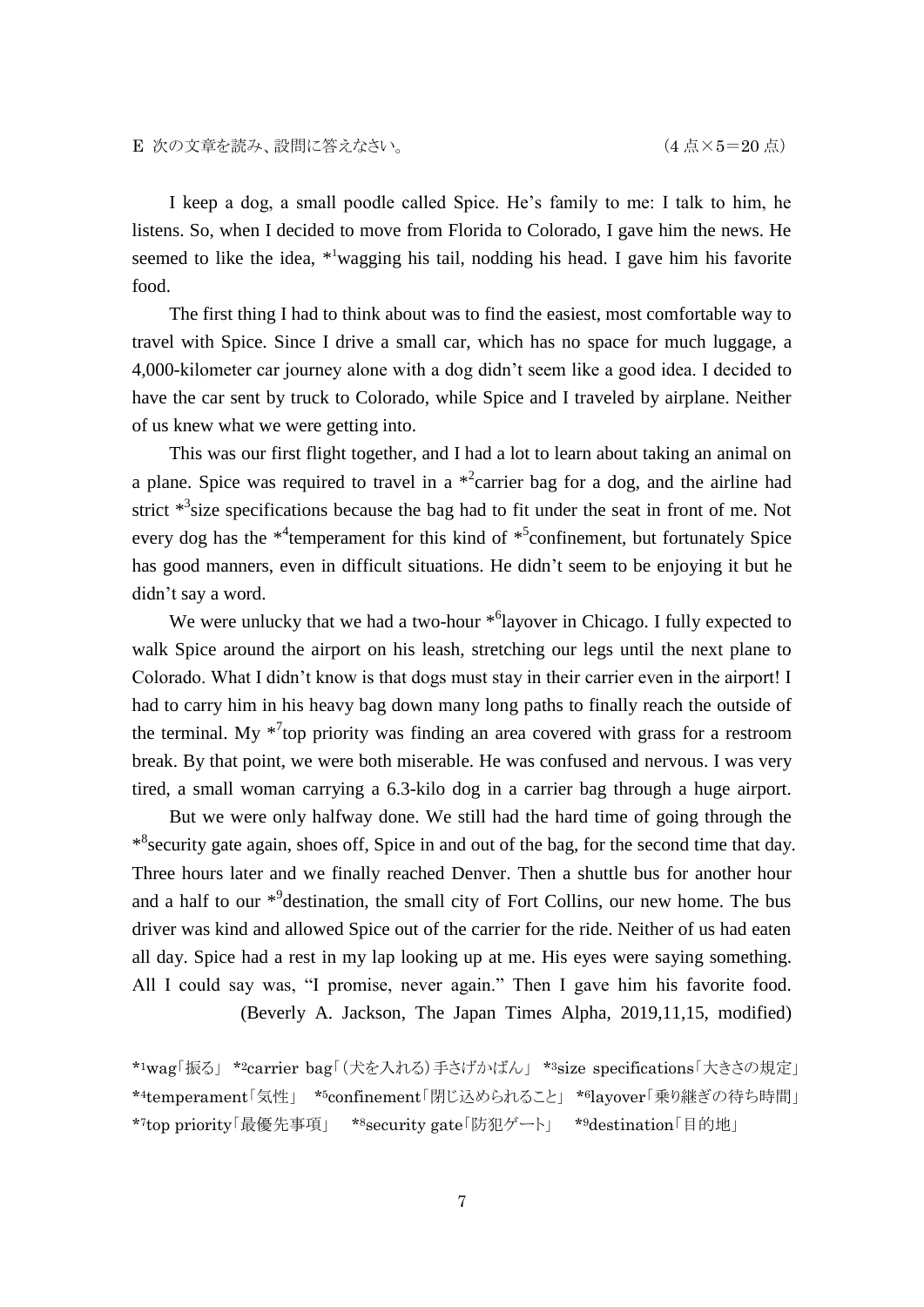I keep a dog, a small poodle called Spice. He's family to me: I talk to him, he listens. So, when I decided to move from Florida to Colorado, I gave him the news. He seemed to like the idea, \*<sup>1</sup>wagging his tail, nodding his head. I gave him his favorite food.

The first thing I had to think about was to find the easiest, most comfortable way to travel with Spice. Since I drive a small car, which has no space for much luggage, a 4,000-kilometer car journey alone with a dog didn't seem like a good idea. I decided to have the car sent by truck to Colorado, while Spice and I traveled by airplane. Neither of us knew what we were getting into.

This was our first flight together, and I had a lot to learn about taking an animal on a plane. Spice was required to travel in a  $*$ <sup>2</sup>carrier bag for a dog, and the airline had strict  $*$ <sup>3</sup> size specifications because the bag had to fit under the seat in front of me. Not every dog has the \*<sup>4</sup> temperament for this kind of \*<sup>5</sup> confinement, but fortunately Spice has good manners, even in difficult situations. He didn't seem to be enjoying it but he didn't say a word.

We were unlucky that we had a two-hour  $*^6$ layover in Chicago. I fully expected to walk Spice around the airport on his leash, stretching our legs until the next plane to Colorado. What I didn't know is that dogs must stay in their carrier even in the airport! I had to carry him in his heavy bag down many long paths to finally reach the outside of the terminal. My  $*^{7}$ top priority was finding an area covered with grass for a restroom break. By that point, we were both miserable. He was confused and nervous. I was very tired, a small woman carrying a 6.3-kilo dog in a carrier bag through a huge airport.

But we were only halfway done. We still had the hard time of going through the \*<sup>8</sup> security gate again, shoes off, Spice in and out of the bag, for the second time that day. Three hours later and we finally reached Denver. Then a shuttle bus for another hour and a half to our  $*^9$  destination, the small city of Fort Collins, our new home. The bus driver was kind and allowed Spice out of the carrier for the ride. Neither of us had eaten all day. Spice had a rest in my lap looking up at me. His eyes were saying something. All I could say was, "I promise, never again." Then I gave him his favorite food. (Beverly A. Jackson, The Japan Times Alpha, 2019,11,15, modified)

\*1wag「振る」 \*2carrier bag「(犬を入れる)手さげかばん」 \*3size specifications「大きさの規定」 \*4temperament「気性」 \*5confinement「閉じ込められること」 \*6layover「乗り継ぎの待ち時間」 \*7top priority「最優先事項」 \*8security gate「防犯ゲート」 \*9destination「目的地」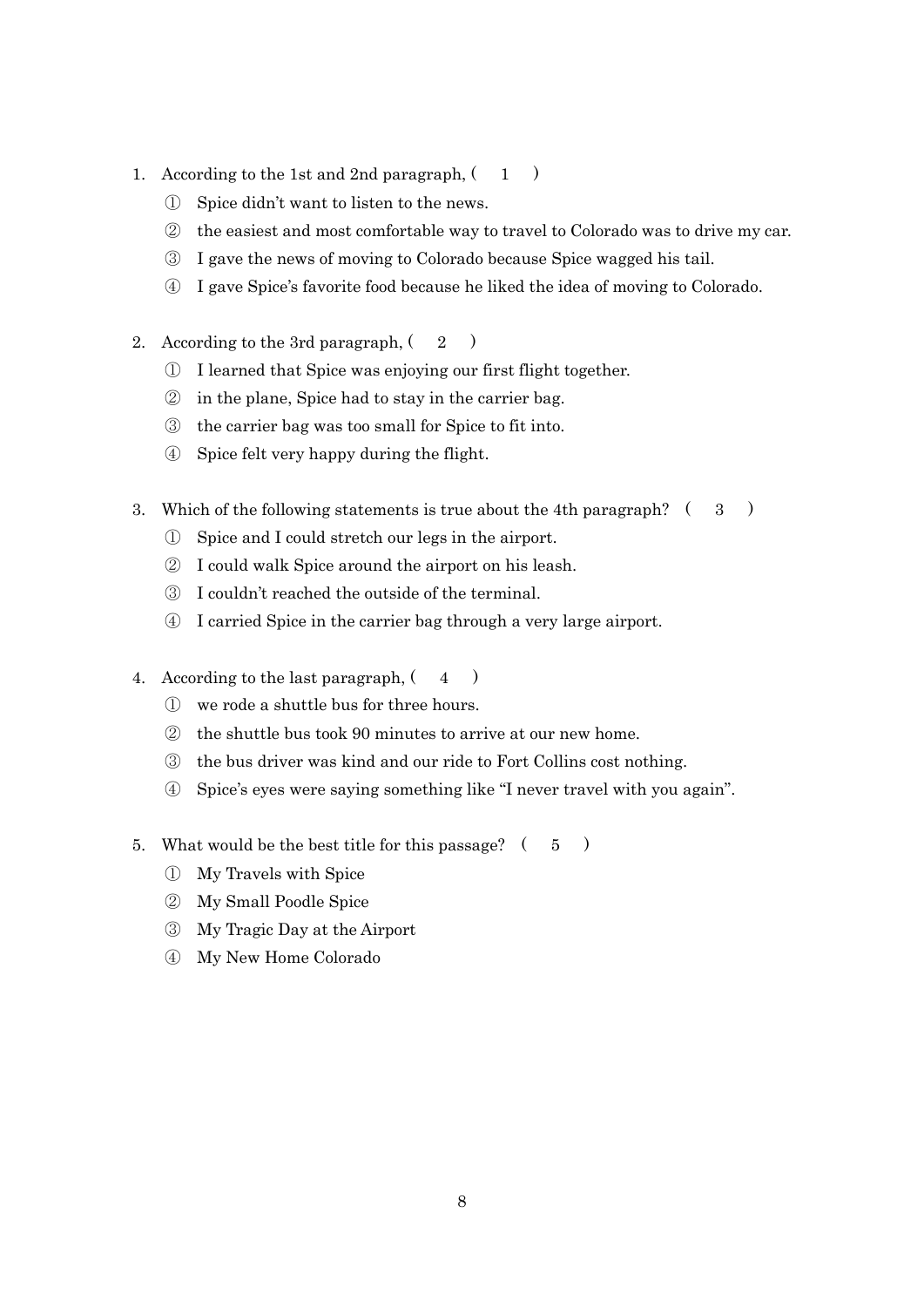- 1. According to the 1st and 2nd paragraph,  $(1)$ 
	- Spice didn't want to listen to the news.
	- the easiest and most comfortable way to travel to Colorado was to drive my car.
	- I gave the news of moving to Colorado because Spice wagged his tail.
	- I gave Spice's favorite food because he liked the idea of moving to Colorado.
- 2. According to the 3rd paragraph,  $(2)$ 
	- I learned that Spice was enjoying our first flight together.
	- in the plane, Spice had to stay in the carrier bag.
	- the carrier bag was too small for Spice to fit into.
	- Spice felt very happy during the flight.
- 3. Which of the following statements is true about the 4th paragraph?  $(3)$ 
	- Spice and I could stretch our legs in the airport.
	- I could walk Spice around the airport on his leash.
	- I couldn't reached the outside of the terminal.
	- I carried Spice in the carrier bag through a very large airport.
- 4. According to the last paragraph,  $(4)$ 
	- we rode a shuttle bus for three hours.
	- the shuttle bus took 90 minutes to arrive at our new home.
	- the bus driver was kind and our ride to Fort Collins cost nothing.
	- Spice's eyes were saying something like "I never travel with you again".
- 5. What would be the best title for this passage? ( 5 )
	- My Travels with Spice
	- My Small Poodle Spice
	- My Tragic Day at the Airport
	- My New Home Colorado